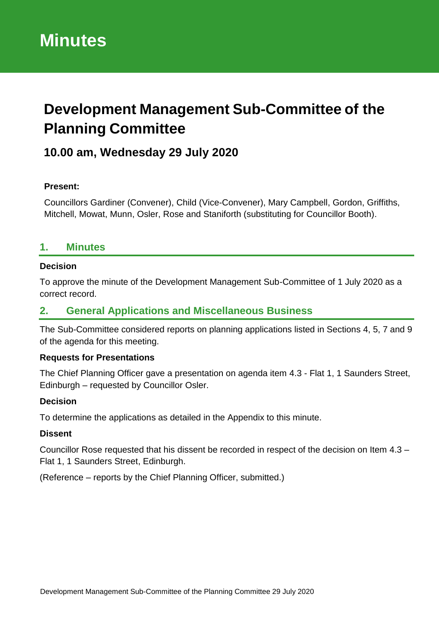# **Development Management Sub-Committee of the Planning Committee**

# **10.00 am, Wednesday 29 July 2020**

### **Present:**

Councillors Gardiner (Convener), Child (Vice-Convener), Mary Campbell, Gordon, Griffiths, Mitchell, Mowat, Munn, Osler, Rose and Staniforth (substituting for Councillor Booth).

# **1. Minutes**

### **Decision**

To approve the minute of the Development Management Sub-Committee of 1 July 2020 as a correct record.

## **2. General Applications and Miscellaneous Business**

The Sub-Committee considered reports on planning applications listed in Sections 4, 5, 7 and 9 of the agenda for this meeting.

### **Requests for Presentations**

The Chief Planning Officer gave a presentation on agenda item 4.3 - Flat 1, 1 Saunders Street, Edinburgh – requested by Councillor Osler.

#### **Decision**

To determine the applications as detailed in the Appendix to this minute.

### **Dissent**

Councillor Rose requested that his dissent be recorded in respect of the decision on Item 4.3 – Flat 1, 1 Saunders Street, Edinburgh.

(Reference – reports by the Chief Planning Officer, submitted.)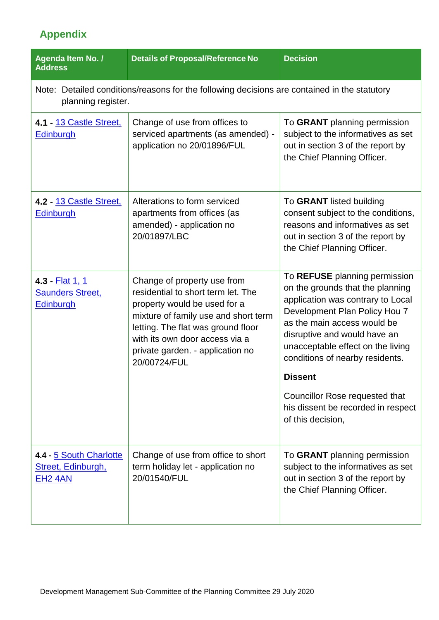# **Appendix**

| Agenda Item No. /<br><b>Address</b>                                                                                | <b>Details of Proposal/Reference No</b>                                                                                                                                                                                                                               | <b>Decision</b>                                                                                                                                                                                                                                                                                                                                                          |  |  |  |
|--------------------------------------------------------------------------------------------------------------------|-----------------------------------------------------------------------------------------------------------------------------------------------------------------------------------------------------------------------------------------------------------------------|--------------------------------------------------------------------------------------------------------------------------------------------------------------------------------------------------------------------------------------------------------------------------------------------------------------------------------------------------------------------------|--|--|--|
| Note: Detailed conditions/reasons for the following decisions are contained in the statutory<br>planning register. |                                                                                                                                                                                                                                                                       |                                                                                                                                                                                                                                                                                                                                                                          |  |  |  |
| 4.1 - 13 Castle Street,<br><b>Edinburgh</b>                                                                        | Change of use from offices to<br>serviced apartments (as amended) -<br>application no 20/01896/FUL                                                                                                                                                                    | To GRANT planning permission<br>subject to the informatives as set<br>out in section 3 of the report by<br>the Chief Planning Officer.                                                                                                                                                                                                                                   |  |  |  |
| 4.2 - 13 Castle Street,<br><b>Edinburgh</b>                                                                        | Alterations to form serviced<br>apartments from offices (as<br>amended) - application no<br>20/01897/LBC                                                                                                                                                              | To GRANT listed building<br>consent subject to the conditions,<br>reasons and informatives as set<br>out in section 3 of the report by<br>the Chief Planning Officer.                                                                                                                                                                                                    |  |  |  |
| 4.3 - <u>Flat 1, 1</u><br><b>Saunders Street,</b><br><b>Edinburgh</b>                                              | Change of property use from<br>residential to short term let. The<br>property would be used for a<br>mixture of family use and short term<br>letting. The flat was ground floor<br>with its own door access via a<br>private garden. - application no<br>20/00724/FUL | To REFUSE planning permission<br>on the grounds that the planning<br>application was contrary to Local<br>Development Plan Policy Hou 7<br>as the main access would be<br>disruptive and would have an<br>unacceptable effect on the living<br>conditions of nearby residents.<br><b>Dissent</b><br>Councillor Rose requested that<br>his dissent be recorded in respect |  |  |  |
|                                                                                                                    |                                                                                                                                                                                                                                                                       | of this decision,                                                                                                                                                                                                                                                                                                                                                        |  |  |  |
| 4.4 - 5 South Charlotte<br>Street, Edinburgh,<br><b>EH2 4AN</b>                                                    | Change of use from office to short<br>term holiday let - application no<br>20/01540/FUL                                                                                                                                                                               | To GRANT planning permission<br>subject to the informatives as set<br>out in section 3 of the report by<br>the Chief Planning Officer.                                                                                                                                                                                                                                   |  |  |  |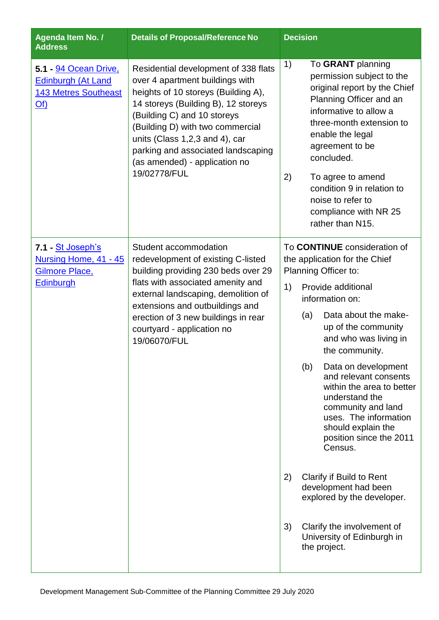| Agenda Item No. /<br><b>Address</b>                                                             | <b>Details of Proposal/Reference No</b>                                                                                                                                                                                                                                                                                                           | <b>Decision</b> |                                       |                                                                                                                                                                                                                                                                                                                                           |
|-------------------------------------------------------------------------------------------------|---------------------------------------------------------------------------------------------------------------------------------------------------------------------------------------------------------------------------------------------------------------------------------------------------------------------------------------------------|-----------------|---------------------------------------|-------------------------------------------------------------------------------------------------------------------------------------------------------------------------------------------------------------------------------------------------------------------------------------------------------------------------------------------|
| 5.1 - 94 Ocean Drive,<br><b>Edinburgh (At Land</b><br><b>143 Metres Southeast</b><br><u>Of)</u> | Residential development of 338 flats<br>over 4 apartment buildings with<br>heights of 10 storeys (Building A),<br>14 storeys (Building B), 12 storeys<br>(Building C) and 10 storeys<br>(Building D) with two commercial<br>units (Class 1,2,3 and 4), car<br>parking and associated landscaping<br>(as amended) - application no<br>19/02778/FUL | 1)<br>2)        |                                       | To GRANT planning<br>permission subject to the<br>original report by the Chief<br>Planning Officer and an<br>informative to allow a<br>three-month extension to<br>enable the legal<br>agreement to be<br>concluded.<br>To agree to amend<br>condition 9 in relation to<br>noise to refer to<br>compliance with NR 25<br>rather than N15. |
| 7.1 - <u>St Joseph's</u><br>Nursing Home, 41 - 45<br>Gilmore Place,<br><b>Edinburgh</b>         | Student accommodation<br>redevelopment of existing C-listed<br>building providing 230 beds over 29<br>flats with associated amenity and<br>external landscaping, demolition of<br>extensions and outbuildings and<br>erection of 3 new buildings in rear<br>courtyard - application no<br>19/06070/FUL                                            |                 |                                       | To <b>CONTINUE</b> consideration of<br>the application for the Chief<br>Planning Officer to:                                                                                                                                                                                                                                              |
|                                                                                                 |                                                                                                                                                                                                                                                                                                                                                   | 1)              | Provide additional<br>information on: |                                                                                                                                                                                                                                                                                                                                           |
|                                                                                                 |                                                                                                                                                                                                                                                                                                                                                   |                 | (a)                                   | Data about the make-<br>up of the community<br>and who was living in<br>the community.                                                                                                                                                                                                                                                    |
|                                                                                                 |                                                                                                                                                                                                                                                                                                                                                   |                 | (b)                                   | Data on development<br>and relevant consents<br>within the area to better<br>understand the<br>community and land<br>uses. The information<br>should explain the<br>position since the 2011<br>Census.                                                                                                                                    |
|                                                                                                 |                                                                                                                                                                                                                                                                                                                                                   | 2)              |                                       | <b>Clarify if Build to Rent</b><br>development had been<br>explored by the developer.                                                                                                                                                                                                                                                     |
|                                                                                                 |                                                                                                                                                                                                                                                                                                                                                   | 3)              |                                       | Clarify the involvement of<br>University of Edinburgh in<br>the project.                                                                                                                                                                                                                                                                  |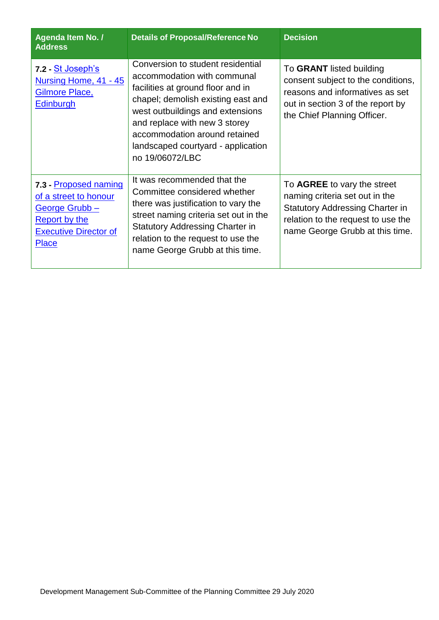| Agenda Item No. /<br><b>Address</b>                                                                                                     | <b>Details of Proposal/Reference No</b>                                                                                                                                                                                                                                                                    | <b>Decision</b>                                                                                                                                                                  |
|-----------------------------------------------------------------------------------------------------------------------------------------|------------------------------------------------------------------------------------------------------------------------------------------------------------------------------------------------------------------------------------------------------------------------------------------------------------|----------------------------------------------------------------------------------------------------------------------------------------------------------------------------------|
| 7.2 St Joseph's<br>Nursing Home, 41 - 45<br>Gilmore Place,<br><b>Edinburgh</b>                                                          | Conversion to student residential<br>accommodation with communal<br>facilities at ground floor and in<br>chapel; demolish existing east and<br>west outbuildings and extensions<br>and replace with new 3 storey<br>accommodation around retained<br>landscaped courtyard - application<br>no 19/06072/LBC | To GRANT listed building<br>consent subject to the conditions,<br>reasons and informatives as set<br>out in section 3 of the report by<br>the Chief Planning Officer.            |
| 7.3 - Proposed naming<br>of a street to honour<br>George Grubb-<br><b>Report by the</b><br><b>Executive Director of</b><br><b>Place</b> | It was recommended that the<br>Committee considered whether<br>there was justification to vary the<br>street naming criteria set out in the<br><b>Statutory Addressing Charter in</b><br>relation to the request to use the<br>name George Grubb at this time.                                             | To AGREE to vary the street<br>naming criteria set out in the<br><b>Statutory Addressing Charter in</b><br>relation to the request to use the<br>name George Grubb at this time. |